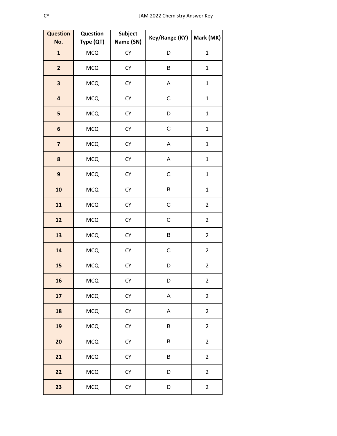| <b>Question</b><br>No.  | Question<br>Type (QT) | <b>Subject</b><br>Name (SN) | Key/Range (KY) | Mark (MK)               |
|-------------------------|-----------------------|-----------------------------|----------------|-------------------------|
| $\mathbf{1}$            | <b>MCQ</b>            | ${\sf CY}$                  | D              | $\mathbf 1$             |
| $\overline{\mathbf{c}}$ | <b>MCQ</b>            | CY                          | B              | $\mathbf{1}$            |
| 3                       | <b>MCQ</b>            | <b>CY</b>                   | $\mathsf A$    | $\mathbf 1$             |
| $\overline{\mathbf{a}}$ | <b>MCQ</b>            | CY                          | $\mathsf C$    | $\mathbf{1}$            |
| 5                       | <b>MCQ</b>            | CY                          | D              | $\mathbf 1$             |
| $\boldsymbol{6}$        | <b>MCQ</b>            | <b>CY</b>                   | $\mathsf C$    | $\mathbf{1}$            |
| $\overline{\mathbf{z}}$ | <b>MCQ</b>            | ${\sf CY}$                  | A              | $\mathbf 1$             |
| 8                       | <b>MCQ</b>            | CY                          | A              | $\mathbf 1$             |
| 9                       | <b>MCQ</b>            | <b>CY</b>                   | $\mathsf C$    | $\mathbf{1}$            |
| 10                      | <b>MCQ</b>            | CY                          | B              | $\mathbf 1$             |
| 11                      | <b>MCQ</b>            | CY                          | C              | $\overline{2}$          |
| 12                      | <b>MCQ</b>            | <b>CY</b>                   | $\mathsf C$    | $\overline{2}$          |
| 13                      | <b>MCQ</b>            | <b>CY</b>                   | B              | $\overline{2}$          |
| 14                      | MCQ                   | <b>CY</b>                   | C              | $\overline{c}$          |
| 15                      | <b>MCQ</b>            | <b>CY</b>                   | D              | $\overline{c}$          |
| 16                      | <b>MCQ</b>            | CY                          | D              | $\overline{c}$          |
| 17                      | <b>MCQ</b>            | <b>CY</b>                   | $\mathsf A$    | $\overline{2}$          |
| 18                      | <b>MCQ</b>            | CY                          | $\mathsf A$    | $\overline{2}$          |
| 19                      | <b>MCQ</b>            | ${\sf CY}$                  | B              | $\overline{2}$          |
| 20                      | <b>MCQ</b>            | <b>CY</b>                   | B              | $\overline{2}$          |
| 21                      | <b>MCQ</b>            | <b>CY</b>                   | B              | $\overline{2}$          |
| 22                      | <b>MCQ</b>            | ${\sf CY}$                  | D              | $\overline{2}$          |
| 23                      | <b>MCQ</b>            | ${\sf CY}$                  | D              | $\overline{\mathbf{c}}$ |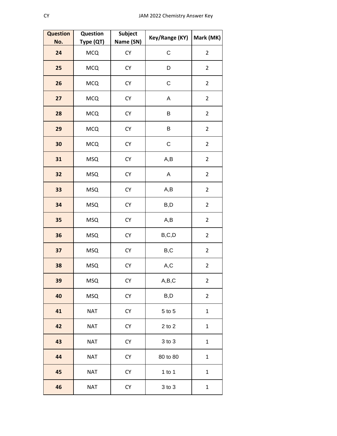| <b>Question</b> | Question   | <b>Subject</b> | Key/Range (KY) | Mark (MK)      |
|-----------------|------------|----------------|----------------|----------------|
| No.             | Type (QT)  | Name (SN)      | $\mathsf C$    |                |
| 24              | <b>MCQ</b> | CY             |                | $\overline{2}$ |
| 25              | <b>MCQ</b> | CY             | D              | $\overline{2}$ |
| 26              | <b>MCQ</b> | CY             | $\mathsf C$    | $\overline{2}$ |
| 27              | <b>MCQ</b> | CY             | A              | $\overline{2}$ |
| 28              | <b>MCQ</b> | <b>CY</b>      | B              | $\overline{2}$ |
| 29              | <b>MCQ</b> | CY             | B              | $\overline{2}$ |
| 30              | <b>MCQ</b> | CY             | $\mathsf C$    | $\overline{2}$ |
| 31              | <b>MSQ</b> | CY             | A,B            | $\overline{2}$ |
| 32              | <b>MSQ</b> | CY             | A              | $\overline{2}$ |
| 33              | <b>MSQ</b> | CY             | A,B            | $\overline{2}$ |
| 34              | <b>MSQ</b> | CY             | B,D            | $\overline{2}$ |
| 35              | <b>MSQ</b> | ${\sf CY}$     | A,B            | $\overline{2}$ |
| 36              | <b>MSQ</b> | CY             | B, C, D        | $\overline{2}$ |
| 37              | <b>MSQ</b> | CY             | $_{\rm B,C}$   | $\overline{2}$ |
| 38              | <b>MSQ</b> | <b>CY</b>      | A,C            | $\overline{2}$ |
| 39              | <b>MSQ</b> | CY             | A,B,C          | $\overline{2}$ |
| 40              | <b>MSQ</b> | CY             | B,D            | $\overline{2}$ |
| 41              | <b>NAT</b> | <b>CY</b>      | $5$ to $5$     | $\mathbf{1}$   |
| 42              | <b>NAT</b> | CY             | $2$ to $2$     | $\mathbf 1$    |
| 43              | <b>NAT</b> | CY             | 3 to 3         | $\mathbf 1$    |
| 44              | <b>NAT</b> | <b>CY</b>      | 80 to 80       | $\mathbf 1$    |
| 45              | <b>NAT</b> | CY             | 1 to 1         | $\mathbf 1$    |
| 46              | <b>NAT</b> | CY             | 3 to 3         | $\mathbf 1$    |